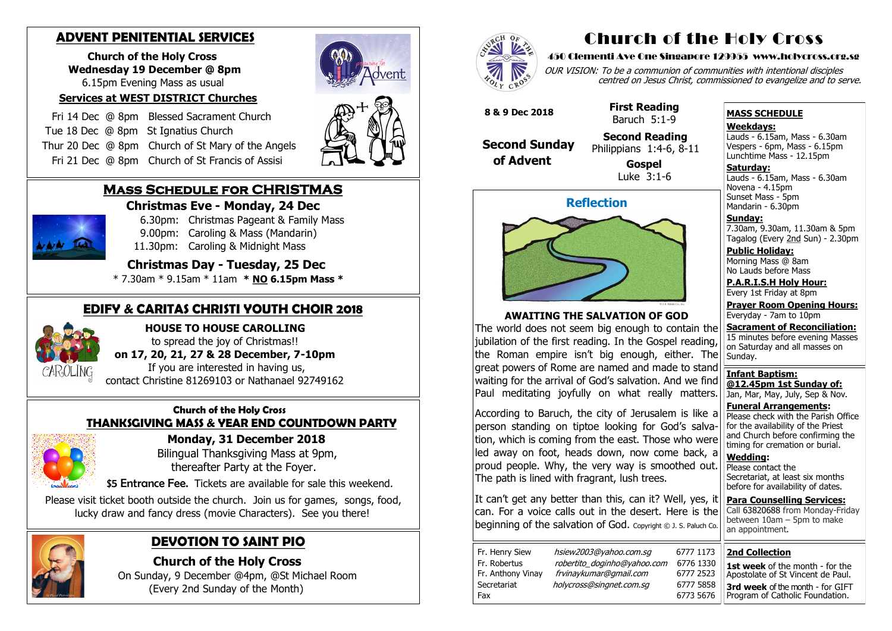### **Mass Schedule for CHRISTMAS Christmas Eve - Monday, 24 Dec**



- 6.30pm: Christmas Pageant & Family Mass 9.00pm: Caroling & Mass (Mandarin)
- 11.30pm: Caroling & Midnight Mass

### **Christmas Day - Tuesday, 25 Dec**

\* 7.30am \* 9.15am \* 11am **\* NO 6.15pm Mass \***

#### **Church of the Holy Cross THANKSGIVING MASS & YEAR END COUNTDOWN PARTY**



 **Monday, 31 December 2018** Bilingual Thanksgiving Mass at 9pm,

thereafter Party at the Foyer.

\$5 Entrance Fee. Tickets are available for sale this weekend.

 Please visit ticket booth outside the church. Join us for games, songs, food, lucky draw and fancy dress (movie Characters). See you there!



## **ADVENT PENITENTIAL SERVICES**

 **Church of the Holy Cross Wednesday 19 December @ 8pm** 6.15pm Evening Mass as usual

OUR VISION: To be a communion of communities with intentional disciples centred on Jesus Christ, commissioned to evangelize and to serve.

#### **Services at WEST DISTRICT Churches**

Fr. Henry Siew hsiew2003@yahoo.com.sg 6777 1173 Fr. Robertus *robertito doginho@yahoo.com* 6776 1330 Fr. Anthony Vinay frvinaykumar@gmail.com 6777 2523 Secretariat holycross@singnet.com.sg 6777 5858

- Fri 14 Dec @ 8pm Blessed Sacrament Church
- Tue 18 Dec @ 8pmSt Ignatius Church
- Thur 20 Dec @ 8pm Church of St Mary of the Angels
- Fri 21 Dec @ 8pm Church of St Francis of Assisi

**Saturday:** Lauds - 6.15am, Mass - 6.30am Novena - 4.15pm Sunset Mass - 5pm Mandarin - 6.30pm

## **EDIFY & CARITAS CHRISTI YOUTH CHOIR 2018**



**HOUSE TO HOUSE CAROLLING**

to spread the joy of Christmas!!

 **on 17, 20, 21, 27 & 28 December, 7-10pm** 

 If you are interested in having us, contact Christine 81269103 or Nathanael 92749162

## **DEVOTION TO SAINT PIO**

 **Church of the Holy Cross** 

 On Sunday, 9 December @4pm, @St Michael Room (Every 2nd Sunday of the Month)



# Church of the Holy Cross

#### 450 Clementi Ave One Singapore 129955 www.holycross.org.sg

Fax 6773 5676

#### **MASS SCHEDULE**

**Weekdays:**

Lauds - 6.15am, Mass - 6.30am Vespers - 6pm, Mass - 6.15pm Lunchtime Mass - 12.15pm

**Sunday:** 7.30am, 9.30am, 11.30am & 5pm Tagalog (Every 2nd Sun) - 2.30pm

**Public Holiday:**  Morning Mass @ 8am No Lauds before Mass

**P.A.R.I.S.H Holy Hour:** Every 1st Friday at 8pm

**Prayer Room Opening Hours:** Everyday - 7am to 10pm

**Sacrament of Reconciliation:** 15 minutes before evening Masses on Saturday and all masses on Sunday.

**Infant Baptism: @12.45pm 1st Sunday of:** Jan, Mar, May, July, Sep & Nov.

**Funeral Arrangements:**  Please check with the Parish Office for the availability of the Priest and Church before confirming the timing for cremation or burial.

**Wedding:**  Please contact the Secretariat, at least six months before for availability of dates.

**Para Counselling Services:** Call [63820688](tel:+6563820688) from Monday-Friday between 10am – 5pm to make an appointment.



#### **AWAITING THE SALVATION OF GOD**

The world does not seem big enough to contain the |iubilation of the first reading. In the Gospel reading, the Roman empire isn't big enough, either. The great powers of Rome are named and made to stand waiting for the arrival of God's salvation. And we find Paul meditating joyfully on what really matters.

According to Baruch, the city of Jerusalem is like a person standing on tiptoe looking for God's salva- $|$ tion, which is coming from the east. Those who were led away on foot, heads down, now come back, a  $\vert$  proud people. Why, the very way is smoothed out. The path is lined with fragrant, lush trees.

It can't get any better than this, can it? Well, yes, it can. For a voice calls out in the desert. Here is the beginning of the salvation of God. Copyright © J. S. Paluch Co.

 **8 & 9 Dec 2018**

 **Second Sunday of Advent**

 **First Reading** Baruch 5:1-9

#### **Second Reading** Philippians 1:4-6, 8-11

 **Gospel** Luke 3:1-6

#### **2nd Collection**

**1st week** of the month - for the Apostolate of St Vincent de Paul. **3rd week** of the month - for GIFT Program of Catholic Foundation.